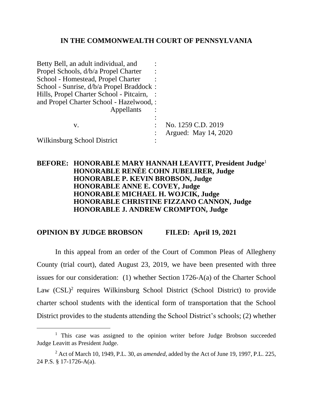## **IN THE COMMONWEALTH COURT OF PENNSYLVANIA**

| Betty Bell, an adult individual, and     |                      |
|------------------------------------------|----------------------|
| Propel Schools, d/b/a Propel Charter     |                      |
| School - Homestead, Propel Charter       |                      |
| School - Sunrise, d/b/a Propel Braddock: |                      |
| Hills, Propel Charter School - Pitcairn, |                      |
| and Propel Charter School - Hazelwood, : |                      |
| Appellants                               |                      |
|                                          |                      |
| V.                                       | No. 1259 C.D. 2019   |
|                                          | Argued: May 14, 2020 |
| Wilkinsburg School District              |                      |

# **BEFORE: HONORABLE MARY HANNAH LEAVITT, President Judge**<sup>1</sup> **HONORABLE RENÉE COHN JUBELIRER, Judge HONORABLE P. KEVIN BROBSON, Judge HONORABLE ANNE E. COVEY, Judge HONORABLE MICHAEL H. WOJCIK, Judge HONORABLE CHRISTINE FIZZANO CANNON, Judge HONORABLE J. ANDREW CROMPTON, Judge**

#### **OPINION BY JUDGE BROBSON FILED: April 19, 2021**

In this appeal from an order of the Court of Common Pleas of Allegheny County (trial court), dated August 23, 2019, we have been presented with three issues for our consideration: (1) whether Section 1726-A(a) of the Charter School Law (CSL)<sup>2</sup> requires Wilkinsburg School District (School District) to provide charter school students with the identical form of transportation that the School District provides to the students attending the School District's schools; (2) whether

<sup>&</sup>lt;sup>1</sup> This case was assigned to the opinion writer before Judge Brobson succeeded Judge Leavitt as President Judge.

<sup>2</sup> Act of March 10, 1949, P.L. 30, *as amended*, added by the Act of June 19, 1997, P.L. 225, 24 P.S. § 17-1726-A(a).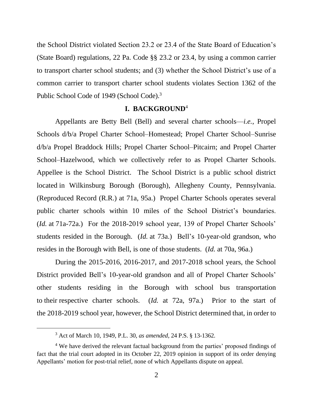the School District violated Section 23.2 or 23.4 of the State Board of Education's (State Board) regulations, 22 Pa. Code §§ 23.2 or 23.4, by using a common carrier to transport charter school students; and (3) whether the School District's use of a common carrier to transport charter school students violates Section 1362 of the Public School Code of 1949 (School Code).<sup>3</sup>

#### **I. BACKGROUND**<sup>4</sup>

Appellants are Betty Bell (Bell) and several charter schools—*i.e.*, Propel Schools d/b/a Propel Charter School–Homestead; Propel Charter School–Sunrise d/b/a Propel Braddock Hills; Propel Charter School–Pitcairn; and Propel Charter School–Hazelwood, which we collectively refer to as Propel Charter Schools. Appellee is the School District. The School District is a public school district located in Wilkinsburg Borough (Borough), Allegheny County, Pennsylvania. (Reproduced Record (R.R.) at 71a, 95a.) Propel Charter Schools operates several public charter schools within 10 miles of the School District's boundaries. (*Id.* at 71a-72a.) For the 2018-2019 school year, 139 of Propel Charter Schools' students resided in the Borough. (*Id.* at 73a.) Bell's 10-year-old grandson, who resides in the Borough with Bell, is one of those students. (*Id.* at 70a, 96a.)

During the 2015-2016, 2016-2017, and 2017-2018 school years, the School District provided Bell's 10-year-old grandson and all of Propel Charter Schools' other students residing in the Borough with school bus transportation to their respective charter schools. (*Id.* at 72a, 97a.) Prior to the start of the 2018-2019 school year, however, the School District determined that, in order to

<sup>3</sup> Act of March 10, 1949, P.L. 30, *as amended*, 24 P.S. § 13-1362.

<sup>&</sup>lt;sup>4</sup> We have derived the relevant factual background from the parties' proposed findings of fact that the trial court adopted in its October 22, 2019 opinion in support of its order denying Appellants' motion for post-trial relief, none of which Appellants dispute on appeal.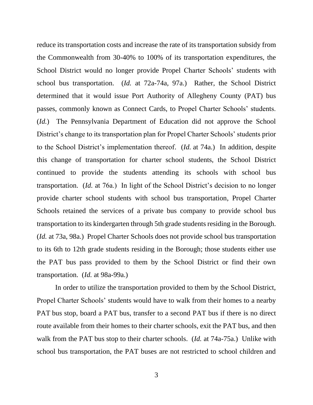reduce its transportation costs and increase the rate of its transportation subsidy from the Commonwealth from 30-40% to 100% of its transportation expenditures, the School District would no longer provide Propel Charter Schools' students with school bus transportation. (*Id.* at 72a-74a, 97a.) Rather, the School District determined that it would issue Port Authority of Allegheny County (PAT) bus passes, commonly known as Connect Cards, to Propel Charter Schools' students. (*Id.*) The Pennsylvania Department of Education did not approve the School District's change to its transportation plan for Propel Charter Schools' students prior to the School District's implementation thereof. (*Id.* at 74a.) In addition, despite this change of transportation for charter school students, the School District continued to provide the students attending its schools with school bus transportation. (*Id.* at 76a.) In light of the School District's decision to no longer provide charter school students with school bus transportation, Propel Charter Schools retained the services of a private bus company to provide school bus transportation to its kindergarten through 5th grade students residing in the Borough. (*Id.* at 73a, 98a.) Propel Charter Schools does not provide school bus transportation to its 6th to 12th grade students residing in the Borough; those students either use the PAT bus pass provided to them by the School District or find their own transportation. (*Id.* at 98a-99a.)

In order to utilize the transportation provided to them by the School District, Propel Charter Schools' students would have to walk from their homes to a nearby PAT bus stop, board a PAT bus, transfer to a second PAT bus if there is no direct route available from their homes to their charter schools, exit the PAT bus, and then walk from the PAT bus stop to their charter schools. (*Id.* at 74a-75a.) Unlike with school bus transportation, the PAT buses are not restricted to school children and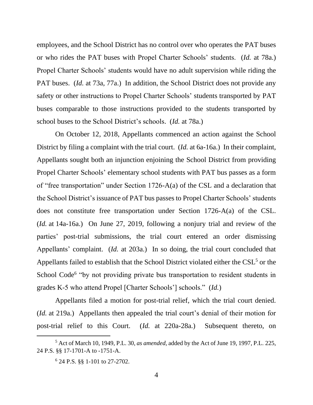employees, and the School District has no control over who operates the PAT buses or who rides the PAT buses with Propel Charter Schools' students. (*Id.* at 78a.) Propel Charter Schools' students would have no adult supervision while riding the PAT buses. (*Id.* at 73a, 77a.) In addition, the School District does not provide any safety or other instructions to Propel Charter Schools' students transported by PAT buses comparable to those instructions provided to the students transported by school buses to the School District's schools. (*Id.* at 78a.)

On October 12, 2018, Appellants commenced an action against the School District by filing a complaint with the trial court. (*Id.* at 6a-16a.) In their complaint, Appellants sought both an injunction enjoining the School District from providing Propel Charter Schools' elementary school students with PAT bus passes as a form of "free transportation" under Section 1726-A(a) of the CSL and a declaration that the School District's issuance of PAT bus passes to Propel Charter Schools' students does not constitute free transportation under Section 1726-A(a) of the CSL. (*Id.* at 14a-16a.) On June 27, 2019, following a nonjury trial and review of the parties' post-trial submissions, the trial court entered an order dismissing Appellants' complaint. (*Id.* at 203a.) In so doing, the trial court concluded that Appellants failed to establish that the School District violated either the  $CSL<sup>5</sup>$  or the School Code<sup>6</sup> "by not providing private bus transportation to resident students in grades K-5 who attend Propel [Charter Schools'] schools." (*Id.*)

Appellants filed a motion for post-trial relief, which the trial court denied. (*Id.* at 219a.) Appellants then appealed the trial court's denial of their motion for post-trial relief to this Court. (*Id.* at 220a-28a.) Subsequent thereto, on

<sup>5</sup> Act of March 10, 1949, P.L. 30, *as amended*, added by the Act of June 19, 1997, P.L. 225, 24 P.S. §§ 17-1701-A to -1751-A.

<sup>6</sup> 24 P.S. §§ 1-101 to 27-2702.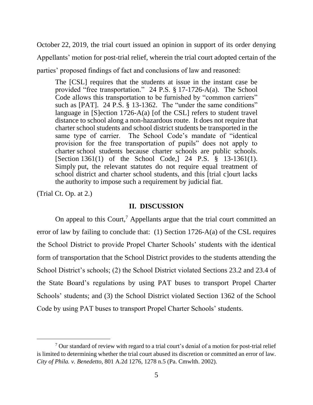October 22, 2019, the trial court issued an opinion in support of its order denying Appellants' motion for post-trial relief, wherein the trial court adopted certain of the parties' proposed findings of fact and conclusions of law and reasoned:

The [CSL] requires that the students at issue in the instant case be provided "free transportation." 24 P.S. § 17-1726-A(a). The School Code allows this transportation to be furnished by "common carriers" such as [PAT]. 24 P.S. § 13-1362. The "under the same conditions" language in [S]ection 1726-A(a) [of the CSL] refers to student travel distance to school along a non-hazardous route. It does not require that charter school students and school district students be transported in the same type of carrier. The School Code's mandate of "identical provision for the free transportation of pupils" does not apply to charter school students because charter schools are public schools. [Section 1361(1) of the School Code,] 24 P.S. § 13-1361(1). Simply put, the relevant statutes do not require equal treatment of school district and charter school students, and this [trial c]ourt lacks the authority to impose such a requirement by judicial fiat.

(Trial Ct. Op. at 2.)

## **II. DISCUSSION**

On appeal to this Court,<sup>7</sup> Appellants argue that the trial court committed an error of law by failing to conclude that: (1) Section 1726-A(a) of the CSL requires the School District to provide Propel Charter Schools' students with the identical form of transportation that the School District provides to the students attending the School District's schools; (2) the School District violated Sections 23.2 and 23.4 of the State Board's regulations by using PAT buses to transport Propel Charter Schools' students; and (3) the School District violated Section 1362 of the School Code by using PAT buses to transport Propel Charter Schools' students.

 $<sup>7</sup>$  Our standard of review with regard to a trial court's denial of a motion for post-trial relief</sup> is limited to determining whether the trial court abused its discretion or committed an error of law. *City of Phila. v. Benedetto*, 801 A.2d 1276, 1278 n.5 (Pa. Cmwlth. 2002).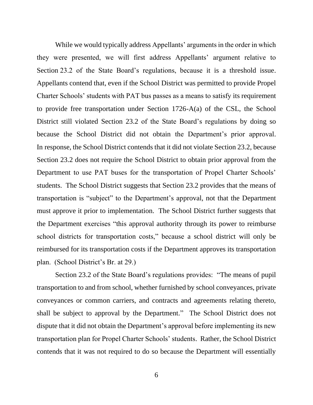While we would typically address Appellants' arguments in the order in which they were presented, we will first address Appellants' argument relative to Section 23.2 of the State Board's regulations, because it is a threshold issue. Appellants contend that, even if the School District was permitted to provide Propel Charter Schools' students with PAT bus passes as a means to satisfy its requirement to provide free transportation under Section 1726-A(a) of the CSL, the School District still violated Section 23.2 of the State Board's regulations by doing so because the School District did not obtain the Department's prior approval. In response, the School District contends that it did not violate Section 23.2, because Section 23.2 does not require the School District to obtain prior approval from the Department to use PAT buses for the transportation of Propel Charter Schools' students. The School District suggests that Section 23.2 provides that the means of transportation is "subject" to the Department's approval, not that the Department must approve it prior to implementation. The School District further suggests that the Department exercises "this approval authority through its power to reimburse school districts for transportation costs," because a school district will only be reimbursed for its transportation costs if the Department approves its transportation plan. (School District's Br. at 29.)

Section 23.2 of the State Board's regulations provides: "The means of pupil transportation to and from school, whether furnished by school conveyances, private conveyances or common carriers, and contracts and agreements relating thereto, shall be subject to approval by the Department." The School District does not dispute that it did not obtain the Department's approval before implementing its new transportation plan for Propel Charter Schools' students. Rather, the School District contends that it was not required to do so because the Department will essentially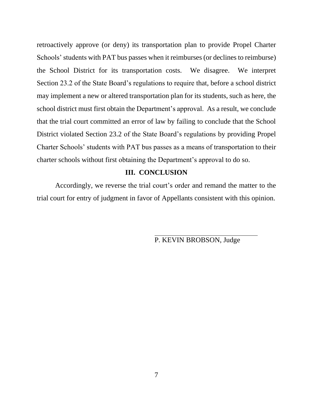retroactively approve (or deny) its transportation plan to provide Propel Charter Schools' students with PAT bus passes when it reimburses (or declines to reimburse) the School District for its transportation costs. We disagree. We interpret Section 23.2 of the State Board's regulations to require that, before a school district may implement a new or altered transportation plan for its students, such as here, the school district must first obtain the Department's approval. As a result, we conclude that the trial court committed an error of law by failing to conclude that the School District violated Section 23.2 of the State Board's regulations by providing Propel Charter Schools' students with PAT bus passes as a means of transportation to their charter schools without first obtaining the Department's approval to do so.

# **III. CONCLUSION**

Accordingly, we reverse the trial court's order and remand the matter to the trial court for entry of judgment in favor of Appellants consistent with this opinion.

P. KEVIN BROBSON, Judge